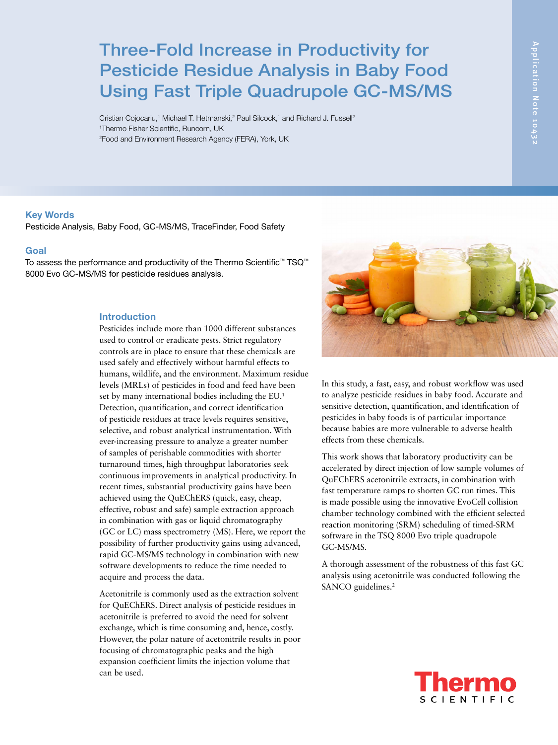# Three-Fold Increase in Productivity for Pesticide Residue Analysis in Baby Food Using Fast Triple Quadrupole GC-MS/MS

Cristian Cojocariu,<sup>1</sup> Michael T. Hetmanski,<sup>2</sup> Paul Silcock,<sup>1</sup> and Richard J. Fussell<sup>2</sup> 1 Thermo Fisher Scientific, Runcorn, UK 2 Food and Environment Research Agency (FERA), York, UK

# Key Words

Pesticide Analysis, Baby Food, GC-MS/MS, TraceFinder, Food Safety

# Goal

To assess the performance and productivity of the Thermo Scientific™ TSQ™ 8000 Evo GC-MS/MS for pesticide residues analysis.

# Introduction

Pesticides include more than 1000 different substances used to control or eradicate pests. Strict regulatory controls are in place to ensure that these chemicals are used safely and effectively without harmful effects to humans, wildlife, and the environment. Maximum residue levels (MRLs) of pesticides in food and feed have been set by many international bodies including the EU.<sup>1</sup> Detection, quantification, and correct identification of pesticide residues at trace levels requires sensitive, selective, and robust analytical instrumentation. With ever-increasing pressure to analyze a greater number of samples of perishable commodities with shorter turnaround times, high throughput laboratories seek continuous improvements in analytical productivity. In recent times, substantial productivity gains have been achieved using the QuEChERS (quick, easy, cheap, effective, robust and safe) sample extraction approach in combination with gas or liquid chromatography (GC or LC) mass spectrometry (MS). Here, we report the possibility of further productivity gains using advanced, rapid GC-MS/MS technology in combination with new software developments to reduce the time needed to acquire and process the data.

Acetonitrile is commonly used as the extraction solvent for QuEChERS. Direct analysis of pesticide residues in acetonitrile is preferred to avoid the need for solvent exchange, which is time consuming and, hence, costly. However, the polar nature of acetonitrile results in poor focusing of chromatographic peaks and the high expansion coefficient limits the injection volume that can be used.



In this study, a fast, easy, and robust workflow was used to analyze pesticide residues in baby food. Accurate and sensitive detection, quantification, and identification of pesticides in baby foods is of particular importance because babies are more vulnerable to adverse health effects from these chemicals.

This work shows that laboratory productivity can be accelerated by direct injection of low sample volumes of QuEChERS acetonitrile extracts, in combination with fast temperature ramps to shorten GC run times. This is made possible using the innovative EvoCell collision chamber technology combined with the efficient selected reaction monitoring (SRM) scheduling of timed-SRM software in the TSQ 8000 Evo triple quadrupole GC-MS/MS.

A thorough assessment of the robustness of this fast GC analysis using acetonitrile was conducted following the SANCO guidelines.<sup>2</sup>

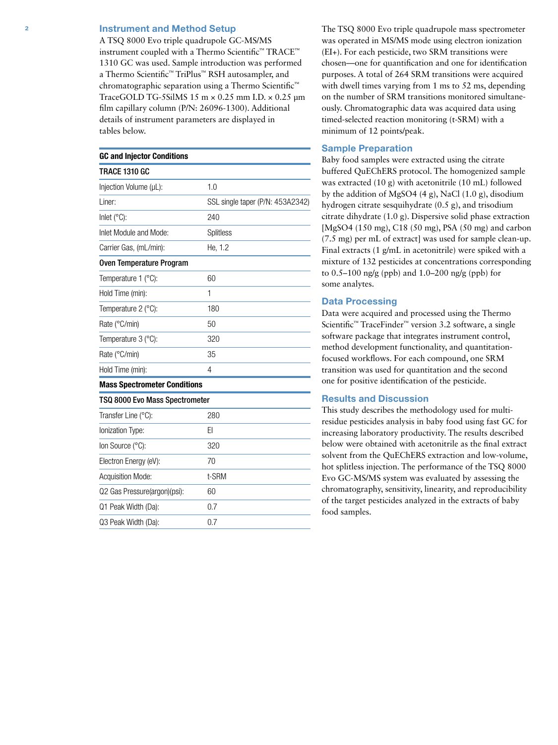# **2 Instrument and Method Setup**

A TSQ 8000 Evo triple quadrupole GC-MS/MS instrument coupled with a Thermo Scientific™ TRACE™ 1310 GC was used. Sample introduction was performed a Thermo Scientific™ TriPlus™ RSH autosampler, and chromatographic separation using a Thermo Scientific™ TraceGOLD TG-5SilMS  $15 \text{ m} \times 0.25 \text{ mm}$  I.D.  $\times 0.25 \text{ µm}$ film capillary column (P/N: 26096-1300). Additional details of instrument parameters are displayed in tables below.

| <b>GC and Injector Conditions</b>   |                                  |
|-------------------------------------|----------------------------------|
| TRACE 1310 GC                       |                                  |
| Injection Volume (µL):              | 1.0                              |
| Liner:                              | SSL single taper (P/N: 453A2342) |
| Inlet (°C):                         | 240                              |
| Inlet Module and Mode:              | <b>Splitless</b>                 |
| Carrier Gas, (mL/min):              | He, 1.2                          |
| Oven Temperature Program            |                                  |
| Temperature 1 (°C):                 | 60                               |
| Hold Time (min):                    | 1                                |
| Temperature 2 (°C):                 | 180                              |
| Rate (°C/min)                       | 50                               |
| Temperature 3 (°C):                 | 320                              |
| Rate (°C/min)                       | 35                               |
| Hold Time (min):                    | 4                                |
| <b>Mass Spectrometer Conditions</b> |                                  |
| TSQ 8000 Evo Mass Spectrometer      |                                  |
| Transfer Line (°C):                 | 280                              |
| Ionization Type:                    | EI                               |
| lon Source (°C):                    | 320                              |
| Electron Energy (eV):               | 70                               |
| <b>Acquisition Mode:</b>            | t-SRM                            |
| Q2 Gas Pressure(argon)(psi):        | 60                               |

Q1 Peak Width (Da): 0.7 Q3 Peak Width (Da): 0.7 The TSQ 8000 Evo triple quadrupole mass spectrometer was operated in MS/MS mode using electron ionization (EI+). For each pesticide, two SRM transitions were chosen—one for quantification and one for identification purposes. A total of 264 SRM transitions were acquired with dwell times varying from 1 ms to 52 ms, depending on the number of SRM transitions monitored simultaneously. Chromatographic data was acquired data using timed-selected reaction monitoring (t-SRM) with a minimum of 12 points/peak.

# Sample Preparation

Baby food samples were extracted using the citrate buffered QuEChERS protocol. The homogenized sample was extracted (10 g) with acetonitrile (10 mL) followed by the addition of MgSO4 (4 g), NaCl (1.0 g), disodium hydrogen citrate sesquihydrate (0.5 g), and trisodium citrate dihydrate (1.0 g). Dispersive solid phase extraction [MgSO4 (150 mg), C18 (50 mg), PSA (50 mg) and carbon (7.5 mg) per mL of extract] was used for sample clean-up. Final extracts (1 g/mL in acetonitrile) were spiked with a mixture of 132 pesticides at concentrations corresponding to 0.5–100 ng/g (ppb) and 1.0–200 ng/g (ppb) for some analytes.

# Data Processing

Data were acquired and processed using the Thermo Scientific™ TraceFinder™ version 3.2 software, a single software package that integrates instrument control, method development functionality, and quantitationfocused workflows. For each compound, one SRM transition was used for quantitation and the second one for positive identification of the pesticide.

# Results and Discussion

This study describes the methodology used for multiresidue pesticides analysis in baby food using fast GC for increasing laboratory productivity. The results described below were obtained with acetonitrile as the final extract solvent from the QuEChERS extraction and low-volume, hot splitless injection. The performance of the TSQ 8000 Evo GC-MS/MS system was evaluated by assessing the chromatography, sensitivity, linearity, and reproducibility of the target pesticides analyzed in the extracts of baby food samples.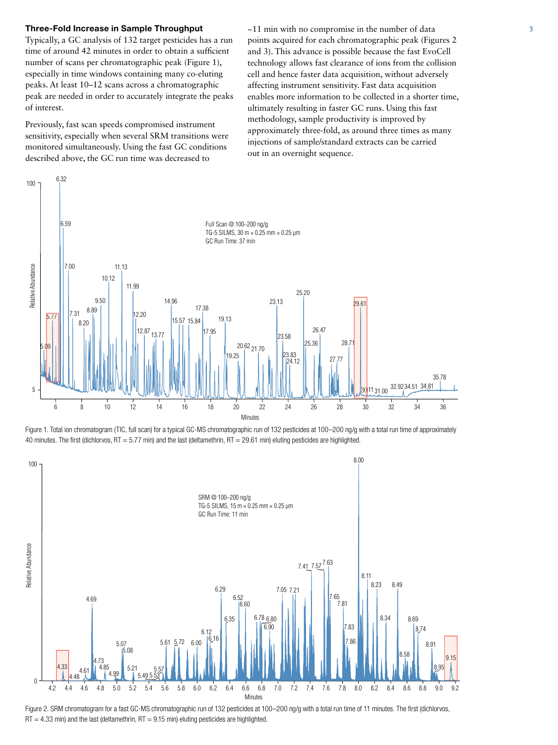### **Three-Fold Increase in Sample Throughput**  $\sim$  11 min with no compromise in the number of data 3

Typically, a GC analysis of 132 target pesticides has a run time of around 42 minutes in order to obtain a sufficient number of scans per chromatographic peak (Figure 1), especially in time windows containing many co-eluting peaks. At least 10–12 scans across a chromatographic peak are needed in order to accurately integrate the peaks of interest.

Previously, fast scan speeds compromised instrument sensitivity, especially when several SRM transitions were monitored simultaneously. Using the fast GC conditions described above, the GC run time was decreased to

points acquired for each chromatographic peak (Figures 2 and 3). This advance is possible because the fast EvoCell technology allows fast clearance of ions from the collision cell and hence faster data acquisition, without adversely affecting instrument sensitivity. Fast data acquisition enables more information to be collected in a shorter time, ultimately resulting in faster GC runs. Using this fast methodology, sample productivity is improved by approximately three-fold, as around three times as many injections of sample/standard extracts can be carried out in an overnight sequence.



Figure 1. Total ion chromatogram (TIC, full scan) for a typical GC-MS chromatographic run of 132 pesticides at 100–200 ng/g with a total run time of approximately 40 minutes. The first (dichlorvos, RT = 5.77 min) and the last (deltamethrin, RT = 29.61 min) eluting pesticides are highlighted.



Figure 2. SRM chromatogram for a fast GC-MS chromatographic run of 132 pesticides at 100-200 ng/g with a total run time of 11 minutes. The first (dichlorvos,  $RT = 4.33$  min) and the last (deltamethrin,  $RT = 9.15$  min) eluting pesticides are highlighted.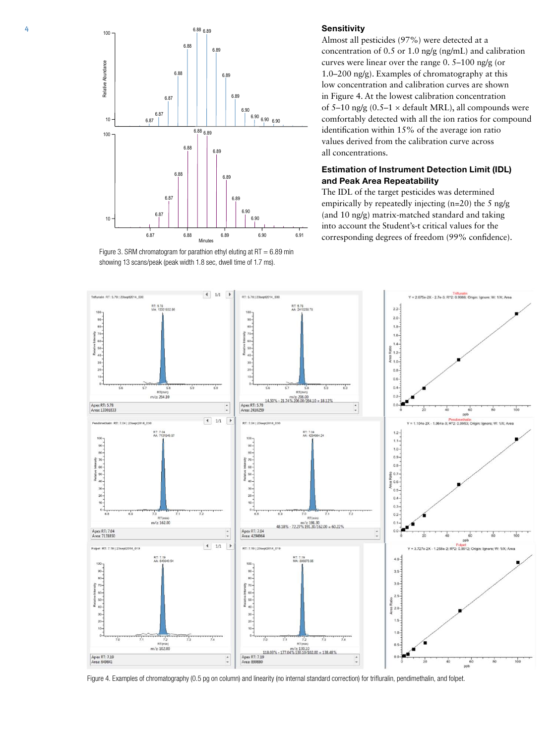

Figure 3. SRM chromatogram for parathion ethyl eluting at  $RT = 6.89$  min showing 13 scans/peak (peak width 1.8 sec, dwell time of 1.7 ms).

Almost all pesticides (97%) were detected at a concentration of 0.5 or 1.0 ng/g (ng/mL) and calibration curves were linear over the range 0. 5–100 ng/g (or 1.0–200 ng/g). Examples of chromatography at this low concentration and calibration curves are shown in Figure 4. At the lowest calibration concentration of 5–10 ng/g (0.5–1  $\times$  default MRL), all compounds were comfortably detected with all the ion ratios for compound identification within 15% of the average ion ratio values derived from the calibration curve across all concentrations.

# Estimation of Instrument Detection Limit (IDL) and Peak Area Repeatability

The IDL of the target pesticides was determined empirically by repeatedly injecting (n=20) the 5 ng/g (and 10 ng/g) matrix-matched standard and taking into account the Student's-t critical values for the 6.87 6.88 6.89 6.89 6.90 6.91 corresponding degrees of freedom (99% confidence).



Figure 4. Examples of chromatography (0.5 pg on column) and linearity (no internal standard correction) for trifluralin, pendimethalin, and folpet.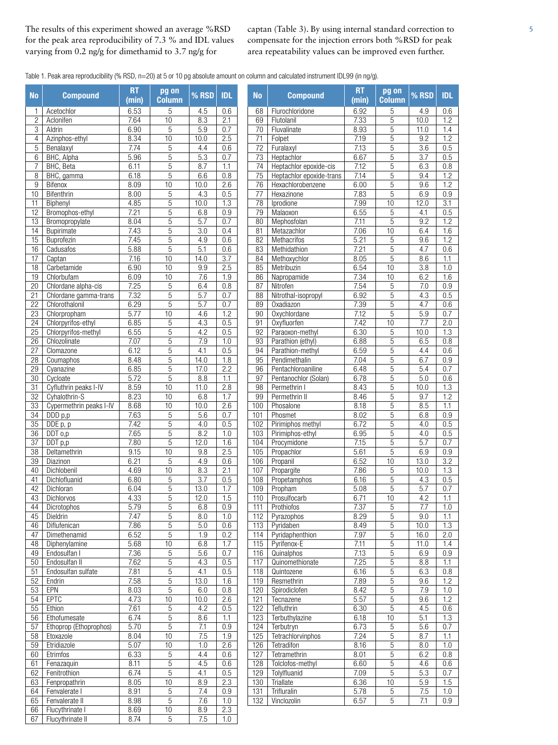The results of this experiment showed an average %RSD for the peak area reproducibility of 7.3 % and IDL values varying from 0.2 ng/g for dimethamid to 3.7 ng/g for

captan (Table 3). By using internal standard correction to compensate for the injection errors both %RSD for peak area repeatability values can be improved even further.

Table 1. Peak area reproducibility (% RSD, n=20) at 5 or 10 pg absolute amount on column and calculated instrument IDL99 (in ng/g).

| <b>No</b>             | <b>Compound</b>                    | <b>RT</b><br>(min) | pg on<br><b>Column</b> | % RSD            | <b>IDL</b> | <b>No</b>       | <b>Compound</b>                                    | <b>RT</b><br>(min) | pg on<br><b>Column</b>        | % RSD            | <b>IDL</b> |
|-----------------------|------------------------------------|--------------------|------------------------|------------------|------------|-----------------|----------------------------------------------------|--------------------|-------------------------------|------------------|------------|
| 1                     | Acetochlor                         | 6.53               | 5                      | 4.5              | 0.6        | 68              | Flurochloridone                                    | 6.92               | 5                             | 4.9              | 0.6        |
| $\overline{2}$        | Aclonifen                          | 7.64               | 10                     | 8.3              | 2.1        | 69              | Flutolanil                                         | 7.33               | 5                             | 10.0             | 1.2        |
| 3                     | Aldrin                             | 6.90               | 5                      | 5.9              | 0.7        | 70              | Fluvalinate                                        | 8.93               | 5                             | 11.0             | 1.4        |
| 4                     | Azinphos-ethyl                     | 8.34               | 10                     | 10.0             | 2.5        | 71              | Folpet                                             | 7.19               | 5                             | 9.2              | 1.2        |
| 5                     | Benalaxyl                          | 7.74               | 5<br>$\overline{5}$    | 4.4              | 0.6<br>0.7 | $\overline{72}$ | Furalaxyl                                          | 7.13               | 5                             | 3.6              | 0.5        |
| 6                     | BHC, Alpha                         | 5.96               | $\overline{5}$         | 5.3              | 1.1        | 73              | Heptachlor                                         | 6.67<br>7.12       | $\overline{5}$                | 3.7              | 0.5        |
| $\overline{7}$<br>8   | BHC, Beta<br>BHC, gamma            | 6.11<br>6.18       | 5                      | 8.7<br>6.6       | 0.8        | 74<br>75        | Heptachlor epoxide-cis<br>Heptachlor epoxide-trans | 7.14               | 5<br>5                        | 6.3<br>9.4       | 0.8<br>1.2 |
| $\boldsymbol{9}$      | Bifenox                            | 8.09               | $\overline{10}$        | 10.0             | 2.6        | 76              | Hexachlorobenzene                                  | 6.00               | 5                             | 9.6              | 1.2        |
| 10                    | Bifenthrin                         | 8.00               | $\sqrt{5}$             | 4.3              | 0.5        | 77              | Hexazinone                                         | 7.83               | 5                             | 6.9              | 0.9        |
| 11                    | Biphenyl                           | 4.85               | $\overline{5}$         | 10.0             | 1.3        | 78              | Iprodione                                          | 7.99               | 10                            | 12.0             | 3.1        |
| 12                    | Bromophos-ethyl                    | 7.21               | 5                      | 6.8              | 0.9        | 79              | Malaoxon                                           | 6.55               | 5                             | 4.1              | 0.5        |
| 13                    | Bromopropylate                     | 8.04               | 5                      | 5.7              | 0.7        | 80              | Mephosfolan                                        | 7.11               | 5                             | 9.2              | 1.2        |
| 14                    | Bupirimate                         | 7.43               | 5                      | 3.0              | 0.4        | 81              | Metazachlor                                        | 7.06               | 10                            | 6.4              | 1.6        |
| 15                    | Buprofezin                         | 7.45               | $\overline{5}$         | 4.9              | 0.6        | 82              | Methacrifos                                        | 5.21               | 5                             | 9.6              | 1.2        |
| 16                    | Cadusafos                          | 5.88               | 5                      | 5.1              | 0.6        | 83              | Methidathion                                       | 7.21               | 5                             | 4.7              | 0.6        |
| 17                    | Captan                             | 7.16               | $\overline{10}$        | 14.0             | 3.7        | 84              | Methoxychlor                                       | 8.05               | $\overline{5}$                | 8.6              | 1.1        |
| 18                    | Carbetamide                        | 6.90               | $\overline{10}$        | 9.9              | 2.5        | 85              | Metribuzin                                         | 6.54               | $\overline{10}$               | $\overline{3.8}$ | 1.0        |
| 19                    | Chlorbufam                         | 6.09               | 10                     | 7.6              | 1.9        | 86              | Napropamide                                        | 7.34               | 10                            | 6.2              | 1.6        |
| 20                    | Chlordane alpha-cis                | 7.25               | 5                      | 6.4              | 0.8        | 87              | Nitrofen                                           | 7.54               | 5                             | 7.0              | 0.9        |
| 21                    | Chlordane gamma-trans              | 7.32               | $\overline{5}$         | 5.7              | 0.7        | 88              | Nitrothal-isopropyl                                | 6.92               | 5                             | 4.3              | 0.5        |
| $\overline{22}$       | Chlorothalonil                     | 6.29               | 5                      | 5.7              | 0.7        | 89              | Oxadiazon                                          | 7.39               | 5                             | 4.7              | 0.6        |
| 23<br>$\overline{24}$ | Chlorpropham<br>Chlorpyrifos-ethyl | 5.77<br>6.85       | 10<br>$\overline{5}$   | 4.6<br>4.3       | 1.2<br>0.5 | 90<br>91        | Oxychlordane<br>Oxyfluorfen                        | 7.12<br>7.42       | 5<br>10                       | 5.9<br>7.7       | 0.7<br>2.0 |
| $\overline{25}$       | Chlorpyrifos-methyl                | 6.55               | $\overline{5}$         | 4.2              | 0.5        | 92              | Paraoxon-methyl                                    | 6.30               | 5                             | 10.0             | 1.3        |
| $\overline{26}$       | Chlozolinate                       | 7.07               | $\overline{5}$         | 7.9              | 1.0        | 93              | Parathion (ethyl)                                  | 6.88               | 5                             | 6.5              | 0.8        |
| 27                    | Clomazone                          | 6.12               | $\sqrt{5}$             | 4.1              | 0.5        | 94              | Parathion-methyl                                   | 6.59               | 5                             | 4.4              | 0.6        |
| 28                    | Coumaphos                          | 8.48               | $\overline{5}$         | 14.0             | 1.8        | 95              | Pendimethalin                                      | 7.04               | 5                             | 6.7              | 0.9        |
| 29                    | Cyanazine                          | 6.85               | 5                      | 17.0             | 2.2        | 96              | Pentachloroaniline                                 | 6.48               | 5                             | 5.4              | 0.7        |
| 30                    | Cycloate                           | 5.72               | 5                      | 8.8              | 1.1        | 97              | Pentanochlor (Solan)                               | 6.78               | 5                             | 5.0              | 0.6        |
| 31                    | Cyfluthrin peaks I-IV              | 8.59               | 10                     | 11.0             | 2.8        | 98              | Permethrin I                                       | 8.43               | 5                             | 10.0             | 1.3        |
| 32                    | Cyhalothrin-S                      | 8.23               | 10                     | 6.8              | 1.7        | 99              | Permethrin II                                      | 8.46               | 5                             | 9.7              | 1.2        |
| 33                    | Cypermethrin peaks I-IV            | 8.68               | 10                     | 10.0             | 2.6        | 100             | Phosalone                                          | 8.18               | $\overline{5}$                | 8.5              | 1.1        |
| 34                    | $\overline{DDD p, p}$              | 7.63               | $\overline{5}$         | 5.6              | 0.7        | 101             | Phosmet                                            | 8.02               | 5                             | 6.8              | 0.9        |
| $\overline{35}$       | DDE p, p                           | 7.42               | 5                      | 4.0              | 0.5        | 102             | Pirimiphos methyl                                  | 6.72               | 5                             | 4.0              | 0.5        |
| 36                    | DDT o,p                            | 7.65               | $\overline{5}$         | 8.2              | 1.0        | 103             | Pirimiphos-ethyl                                   | 6.95               | 5                             | 4.0              | 0.5        |
| 37                    | DDT p,p                            | 7.80               | 5                      | 12.0             | 1.6        | 104             | Procymidone                                        | 7.15               | 5                             | $\overline{5.7}$ | 0.7        |
| 38<br>39              | Deltamethrin                       | 9.15<br>6.21       | 10<br>5                | 9.8              | 2.5<br>0.6 | 105<br>106      | Propachlor                                         | 5.61               | 5<br>10                       | 6.9              | 0.9<br>3.2 |
| 40                    | Diazinon<br>Dichlobenil            | 4.69               | 10                     | 4.9<br>8.3       | 2.1        | 107             | Propanil                                           | 6.52<br>7.86       | 5                             | 13.0<br>10.0     | 1.3        |
| 41                    | Dichlofluanid                      | 6.80               | $\overline{5}$         | $\overline{3.7}$ | 0.5        | 108             | Propargite<br>Propetamphos                         | 6.16               | 5                             | 4.3              | 0.5        |
| 42                    | Dichloran                          | 6.04               | $\overline{5}$         | 13.0             | 1.7        | 109             | Propham                                            | 5.08               | 5                             | 5.7              | 0.7        |
| 43                    | Dichlorvos                         | 4.33               | $\overline{5}$         | 12.0             | 1.5        | 110             | Prosulfocarb                                       | 6.71               | 10                            | 4.2              | 1.1        |
| 44                    | Dicrotophos                        | 5.79               | $\overline{5}$         | 6.8              | 0.9        | 111             | Prothiofos                                         | 7.37               | $\overline{5}$                | 7.7              | 1.0        |
| 45                    | Dieldrin                           | 7.47               | $\sqrt{5}$             | 8.0              | 1.0        | 112             | Pyrazophos                                         | 8.29               | 5                             | 9.0              | 1.1        |
| 46                    | Diflufenican                       | 7.86               | 5                      | 5.0              | 0.6        | 113             | Pyridaben                                          | 8.49               | 5                             | 10.0             | 1.3        |
| 47                    | Dimethenamid                       | 6.52               | 5                      | 1.9              | 0.2        | 114             | Pyridaphenthion                                    | 7.97               | $\mathbf 5$                   | 16.0             | 2.0        |
| 48                    | Diphenylamine                      | 5.68               | 10                     | 6.8              | 1.7        | 115             | Pyrifenox-E                                        | 7.11               | 5                             | 11.0             | 1.4        |
| 49                    | Endosulfan I                       | 7.36               | $\sqrt{5}$             | 5.6              | 0.7        | 116             | Quinalphos                                         | 7.13               | $\mathbf 5$                   | 6.9              | 0.9        |
| 50                    | Endosulfan II                      | 7.62               | $\overline{5}$         | 4.3              | 0.5        | 117             | Quinomethionate                                    | 7.25               | 5                             | 8.8              | 1.1        |
| 51                    | Endosulfan sulfate                 | 7.81               | $\overline{5}$         | 4.1              | 0.5        | 118             | Quintozene                                         | 6.16               | 5                             | 6.3              | 0.8        |
| 52                    | Endrin                             | 7.58               | $\overline{5}$         | 13.0             | 1.6        | 119             | Resmethrin                                         | 7.89               | 5                             | 9.6              | 1.2        |
| $\overline{53}$<br>54 | EPN<br><b>EPTC</b>                 | 8.03               | $\overline{5}$<br>10   | 6.0              | 0.8<br>2.6 | 120             | Spirodiclofen                                      | 8.42<br>5.57       | $\overline{5}$                | 7.9<br>9.6       | 1.0<br>1.2 |
| $\overline{55}$       | Ethion                             | 4.73<br>7.61       | $\overline{5}$         | 10.0<br>4.2      | 0.5        | 121<br>122      | Tecnazene<br>Tefluthrin                            | 6.30               | $\mathbf 5$<br>$\overline{5}$ | 4.5              | 0.6        |
| 56                    | Ethofumesate                       | 6.74               | $\overline{5}$         | 8.6              | 1.1        | 123             | Terbuthylazine                                     | 6.18               | 10                            | $\overline{5.1}$ | 1.3        |
| 57                    | Ethoprop (Ethoprophos)             | 5.70               | $\overline{5}$         | 7.1              | 0.9        | 124             | Terbutryn                                          | 6.73               | 5                             | 5.6              | 0.7        |
| 58                    | Etoxazole                          | 8.04               | $\overline{10}$        | 7.5              | 1.9        | 125             | Tetrachlorvinphos                                  | 7.24               | 5                             | 8.7              | 1.1        |
| 59                    | Etridiazole                        | 5.07               | 10                     | 1.0              | 2.6        | 126             | Tetradifon                                         | 8.16               | 5                             | 8.0              | 1.0        |
| 60                    | Etrimfos                           | 6.33               | $\overline{5}$         | 4.4              | 0.6        | 127             | Tetramethrin                                       | 8.01               | $\overline{5}$                | 6.2              | 0.8        |
| 61                    | Fenazaquin                         | 8.11               | $\overline{5}$         | 4.5              | 0.6        | 128             | Tolclofos-methyl                                   | 6.60               | 5                             | 4.6              | 0.6        |
| 62                    | Fenitrothion                       | 6.74               | $\overline{5}$         | 4.1              | 0.5        | 129             | Tolylfluanid                                       | 7.09               | 5                             | 5.3              | 0.7        |
| 63                    | Fenpropathrin                      | 8.05               | 10                     | 8.9              | 2.3        | 130             | Triallate                                          | 6.36               | 10                            | 5.9              | 1.5        |
| 64                    | Fenvalerate I                      | 8.91               | $\overline{5}$         | 7.4              | 0.9        | 131             | Trifluralin                                        | 5.78               | 5                             | 7.5              | 1.0        |
| 65                    | Fenvalerate II                     | 8.98               | $\overline{5}$         | 7.6              | 1.0        | 132             | Vinclozolin                                        | 6.57               | 5                             | 7.1              | 0.9        |
| 66                    | Flucythrinate I                    | 8.69               | 10                     | 8.9              | 2.3        |                 |                                                    |                    |                               |                  |            |
| 67                    | Flucythrinate II                   | 8.74               | $\overline{5}$         | 7.5              | 1.0        |                 |                                                    |                    |                               |                  |            |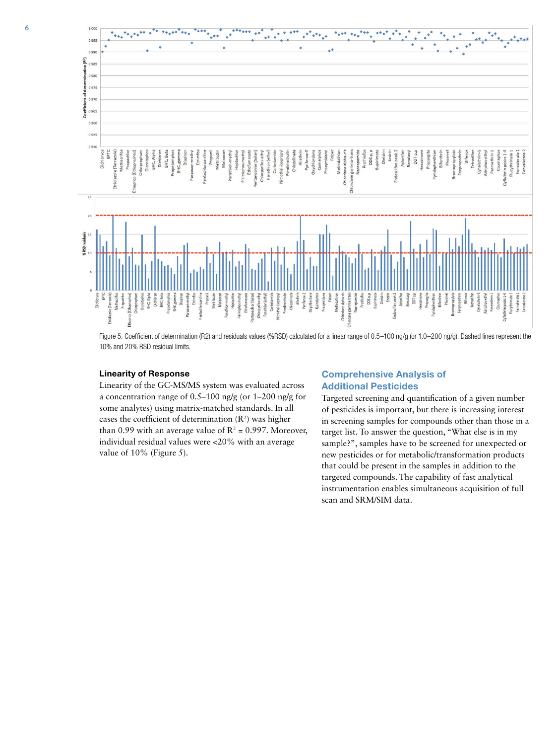

Figure 5. Coefficient of determination (R2) and residuals values (%RSD) calculated for a linear range of 0.5-100 ng/g (or 1.0-200 ng/g). Dashed lines represent the 10% and 20% RSD residual limits.

# Linearity of Response

Linearity of the GC-MS/MS system was evaluated across a concentration range of 0.5–100 ng/g (or 1–200 ng/g for some analytes) using matrix-matched standards. In all cases the coefficient of determination  $(R^2)$  was higher than 0.99 with an average value of  $R^2$  = 0.997. Moreover, individual residual values were <20% with an average value of 10% (Figure 5).

# Comprehensive Analysis of Additional Pesticides

Targeted screening and quantification of a given number of pesticides is important, but there is increasing interest in screening samples for compounds other than those in a target list. To answer the question, "What else is in my sample?", samples have to be screened for unexpected or new pesticides or for metabolic/transformation products that could be present in the samples in addition to the targeted compounds. The capability of fast analytical instrumentation enables simultaneous acquisition of full scan and SRM/SIM data.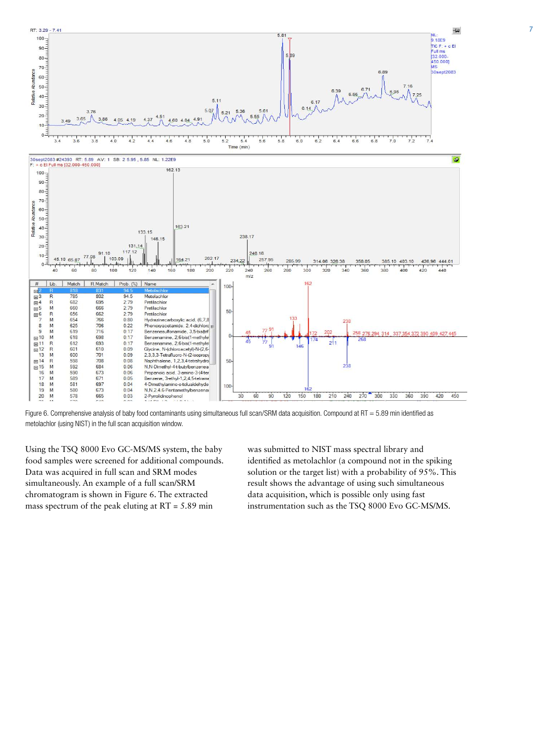

Figure 6. Comprehensive analysis of baby food contaminants using simultaneous full scan/SRM data acquisition. Compound at RT = 5.89 min identified as metolachlor (using NIST) in the full scan acquisition window.

Using the TSQ 8000 Evo GC-MS/MS system, the baby food samples were screened for additional compounds. Data was acquired in full scan and SRM modes simultaneously. An example of a full scan/SRM chromatogram is shown in Figure 6. The extracted mass spectrum of the peak eluting at  $RT = 5.89$  min

was submitted to NIST mass spectral library and identified as metolachlor (a compound not in the spiking solution or the target list) with a probability of 95%. This result shows the advantage of using such simultaneous data acquisition, which is possible only using fast instrumentation such as the TSQ 8000 Evo GC-MS/MS.